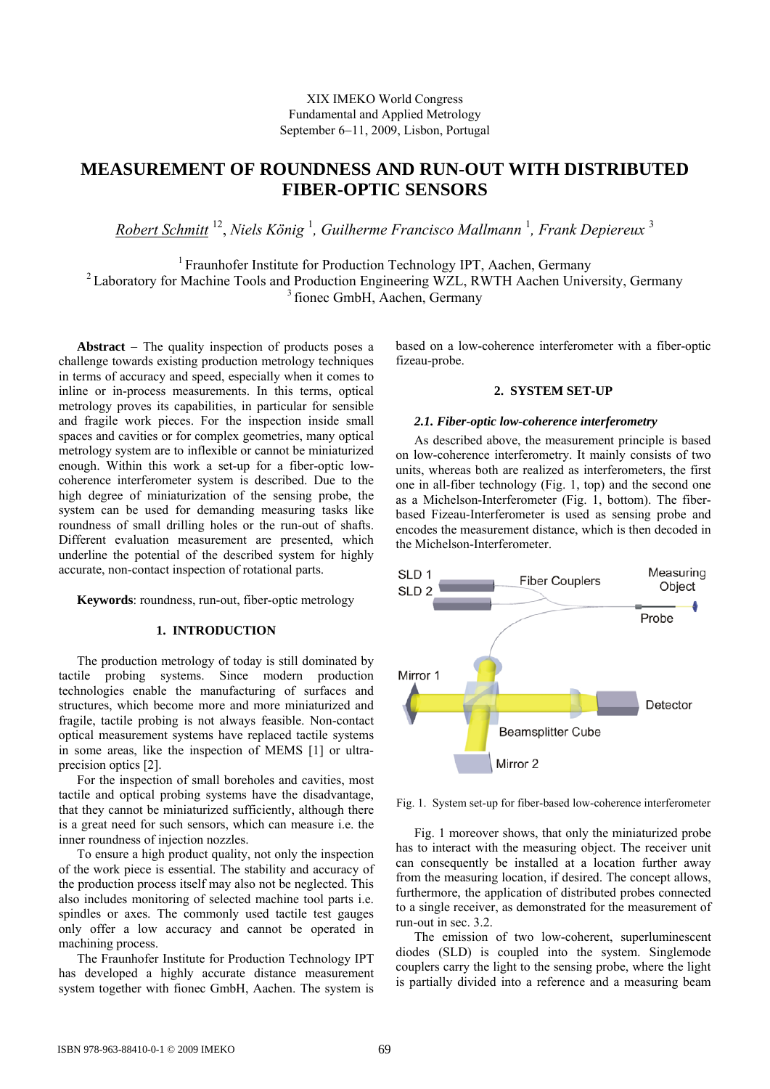# XIX IMEKO World Congress Fundamental and Applied Metrology September 6–11, 2009, Lisbon, Portugal

# **MEASUREMENT OF ROUNDNESS AND RUN-OUT WITH DISTRIBUTED FIBER-OPTIC SENSORS**

*Robert Schmitt* 12, *Niels König* <sup>1</sup> *, Guilherme Francisco Mallmann* <sup>1</sup> *, Frank Depiereux* <sup>3</sup>

<sup>1</sup> Fraunhofer Institute for Production Technology IPT, Aachen, Germany <sup>2</sup> Laboratory for Machine Tools and Production Engineering WZL, RWTH Aachen University, Germany <sup>3</sup> fionec GmbH, Aachen, Germany

**Abstract** – The quality inspection of products poses a challenge towards existing production metrology techniques in terms of accuracy and speed, especially when it comes to inline or in-process measurements. In this terms, optical metrology proves its capabilities, in particular for sensible and fragile work pieces. For the inspection inside small spaces and cavities or for complex geometries, many optical metrology system are to inflexible or cannot be miniaturized enough. Within this work a set-up for a fiber-optic lowcoherence interferometer system is described. Due to the high degree of miniaturization of the sensing probe, the system can be used for demanding measuring tasks like roundness of small drilling holes or the run-out of shafts. Different evaluation measurement are presented, which underline the potential of the described system for highly accurate, non-contact inspection of rotational parts.

**Keywords**: roundness, run-out, fiber-optic metrology

## **1. INTRODUCTION**

The production metrology of today is still dominated by tactile probing systems. Since modern production technologies enable the manufacturing of surfaces and structures, which become more and more miniaturized and fragile, tactile probing is not always feasible. Non-contact optical measurement systems have replaced tactile systems in some areas, like the inspection of MEMS [1] or ultraprecision optics [2].

For the inspection of small boreholes and cavities, most tactile and optical probing systems have the disadvantage, that they cannot be miniaturized sufficiently, although there is a great need for such sensors, which can measure i.e. the inner roundness of injection nozzles.

To ensure a high product quality, not only the inspection of the work piece is essential. The stability and accuracy of the production process itself may also not be neglected. This also includes monitoring of selected machine tool parts i.e. spindles or axes. The commonly used tactile test gauges only offer a low accuracy and cannot be operated in machining process.

The Fraunhofer Institute for Production Technology IPT has developed a highly accurate distance measurement system together with fionec GmbH, Aachen. The system is

based on a low-coherence interferometer with a fiber-optic fizeau-probe.

## **2. SYSTEM SET-UP**

### *2.1. Fiber-optic low-coherence interferometry*

As described above, the measurement principle is based on low-coherence interferometry. It mainly consists of two units, whereas both are realized as interferometers, the first one in all-fiber technology (Fig. 1, top) and the second one as a Michelson-Interferometer (Fig. 1, bottom). The fiberbased Fizeau-Interferometer is used as sensing probe and encodes the measurement distance, which is then decoded in the Michelson-Interferometer.



Fig. 1. System set-up for fiber-based low-coherence interferometer

Fig. 1 moreover shows, that only the miniaturized probe has to interact with the measuring object. The receiver unit can consequently be installed at a location further away from the measuring location, if desired. The concept allows, furthermore, the application of distributed probes connected to a single receiver, as demonstrated for the measurement of run-out in sec. 3.2.

The emission of two low-coherent, superluminescent diodes (SLD) is coupled into the system. Singlemode couplers carry the light to the sensing probe, where the light is partially divided into a reference and a measuring beam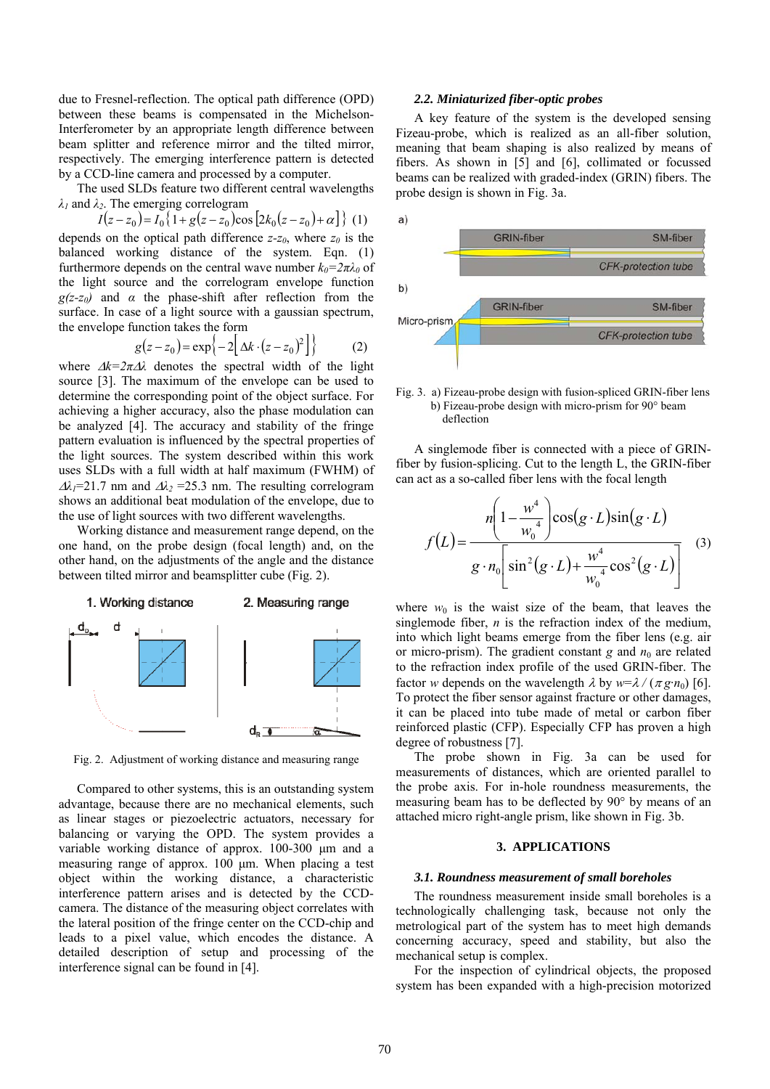due to Fresnel-reflection. The optical path difference (OPD) between these beams is compensated in the Michelson-Interferometer by an appropriate length difference between beam splitter and reference mirror and the tilted mirror, respectively. The emerging interference pattern is detected by a CCD-line camera and processed by a computer.

The used SLDs feature two different central wavelengths *λ1* and *λ2*. The emerging correlogram

$$
I(z-z_0) = I_0 \{ 1 + g(z-z_0) \cos [2k_0(z-z_0) + \alpha ] \} (1)
$$

depends on the optical path difference  $z-z_0$ , where  $z_0$  is the balanced working distance of the system. Eqn. (1) furthermore depends on the central wave number  $k_0 = 2\pi\lambda_0$  of the light source and the correlogram envelope function  $g(z-z_0)$  and  $\alpha$  the phase-shift after reflection from the surface. In case of a light source with a gaussian spectrum, the envelope function takes the form

$$
g(z-z_0) = \exp\{-2\left[\Delta k \cdot (z-z_0)^2\right]\}\tag{2}
$$

where  $\Delta k = 2\pi\Delta\lambda$  denotes the spectral width of the light source [3]. The maximum of the envelope can be used to determine the corresponding point of the object surface. For achieving a higher accuracy, also the phase modulation can be analyzed [4]. The accuracy and stability of the fringe pattern evaluation is influenced by the spectral properties of the light sources. The system described within this work uses SLDs with a full width at half maximum (FWHM) of  $\Delta\lambda_1 = 21.7$  nm and  $\Delta\lambda_2 = 25.3$  nm. The resulting correlogram shows an additional beat modulation of the envelope, due to the use of light sources with two different wavelengths.

Working distance and measurement range depend, on the one hand, on the probe design (focal length) and, on the other hand, on the adjustments of the angle and the distance between tilted mirror and beamsplitter cube (Fig. 2).



Fig. 2. Adjustment of working distance and measuring range

Compared to other systems, this is an outstanding system advantage, because there are no mechanical elements, such as linear stages or piezoelectric actuators, necessary for balancing or varying the OPD. The system provides a variable working distance of approx. 100-300 μm and a measuring range of approx. 100 μm. When placing a test object within the working distance, a characteristic interference pattern arises and is detected by the CCDcamera. The distance of the measuring object correlates with the lateral position of the fringe center on the CCD-chip and leads to a pixel value, which encodes the distance. A detailed description of setup and processing of the interference signal can be found in [4].

#### *2.2. Miniaturized fiber-optic probes*

A key feature of the system is the developed sensing Fizeau-probe, which is realized as an all-fiber solution, meaning that beam shaping is also realized by means of fibers. As shown in [5] and [6], collimated or focussed beams can be realized with graded-index (GRIN) fibers. The probe design is shown in Fig. 3a.



Fig. 3. a) Fizeau-probe design with fusion-spliced GRIN-fiber lens b) Fizeau-probe design with micro-prism for 90° beam deflection

A singlemode fiber is connected with a piece of GRINfiber by fusion-splicing. Cut to the length L, the GRIN-fiber can act as a so-called fiber lens with the focal length

$$
f(L) = \frac{n\left(1 - \frac{w^4}{w_0^4}\right)\cos(g \cdot L)\sin(g \cdot L)}{g \cdot n_0 \left[\sin^2(g \cdot L) + \frac{w^4}{w_0^4}\cos^2(g \cdot L)\right]}
$$
(3)

where  $w_0$  is the waist size of the beam, that leaves the singlemode fiber, *n* is the refraction index of the medium, into which light beams emerge from the fiber lens (e.g. air or micro-prism). The gradient constant  $g$  and  $n_0$  are related to the refraction index profile of the used GRIN-fiber. The factor *w* depends on the wavelength  $\lambda$  by  $w = \lambda / (\pi g \cdot n_0)$  [6]. To protect the fiber sensor against fracture or other damages, it can be placed into tube made of metal or carbon fiber reinforced plastic (CFP). Especially CFP has proven a high degree of robustness [7].

The probe shown in Fig. 3a can be used for measurements of distances, which are oriented parallel to the probe axis. For in-hole roundness measurements, the measuring beam has to be deflected by 90° by means of an attached micro right-angle prism, like shown in Fig. 3b.

# **3. APPLICATIONS**

#### *3.1. Roundness measurement of small boreholes*

The roundness measurement inside small boreholes is a technologically challenging task, because not only the metrological part of the system has to meet high demands concerning accuracy, speed and stability, but also the mechanical setup is complex.

For the inspection of cylindrical objects, the proposed system has been expanded with a high-precision motorized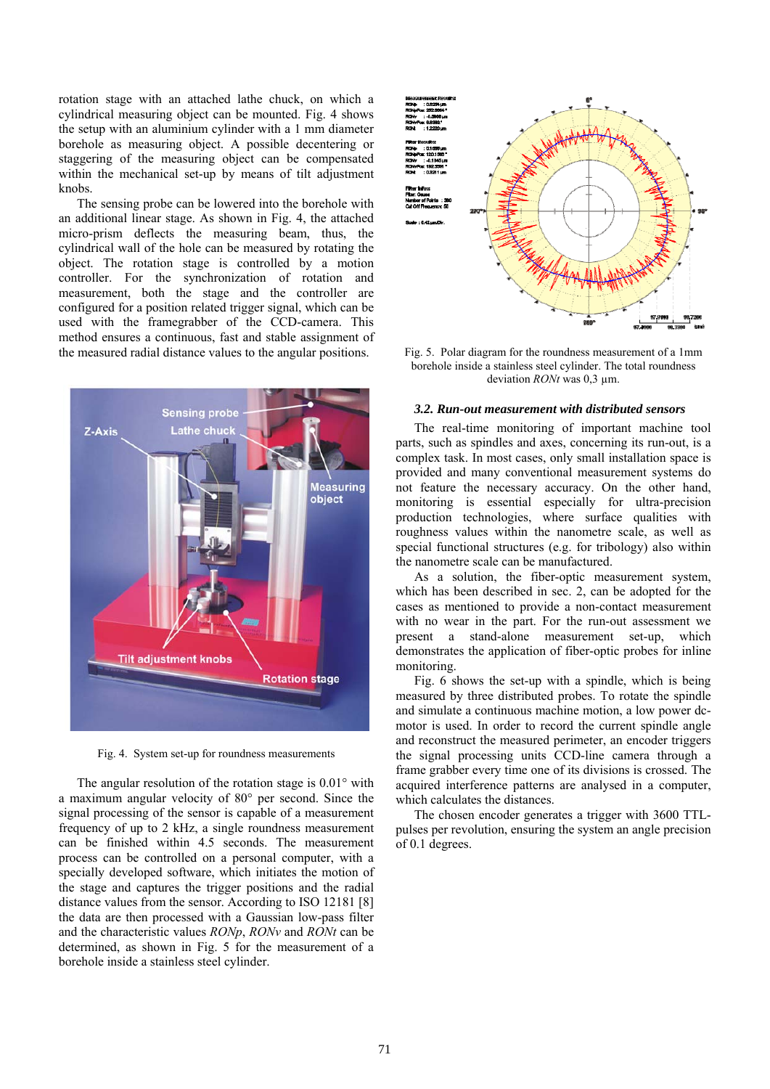rotation stage with an attached lathe chuck, on which a cylindrical measuring object can be mounted. Fig. 4 shows the setup with an aluminium cylinder with a 1 mm diameter borehole as measuring object. A possible decentering or staggering of the measuring object can be compensated within the mechanical set-up by means of tilt adjustment knobs.

The sensing probe can be lowered into the borehole with an additional linear stage. As shown in Fig. 4, the attached micro-prism deflects the measuring beam, thus, the cylindrical wall of the hole can be measured by rotating the object. The rotation stage is controlled by a motion controller. For the synchronization of rotation and measurement, both the stage and the controller are configured for a position related trigger signal, which can be used with the framegrabber of the CCD-camera. This method ensures a continuous, fast and stable assignment of the measured radial distance values to the angular positions.



Fig. 4. System set-up for roundness measurements

The angular resolution of the rotation stage is 0.01° with a maximum angular velocity of 80° per second. Since the signal processing of the sensor is capable of a measurement frequency of up to 2 kHz, a single roundness measurement can be finished within 4.5 seconds. The measurement process can be controlled on a personal computer, with a specially developed software, which initiates the motion of the stage and captures the trigger positions and the radial distance values from the sensor. According to ISO 12181 [8] the data are then processed with a Gaussian low-pass filter and the characteristic values *RONp*, *RONv* and *RONt* can be determined, as shown in Fig. 5 for the measurement of a borehole inside a stainless steel cylinder.



Fig. 5. Polar diagram for the roundness measurement of a 1mm borehole inside a stainless steel cylinder. The total roundness deviation *RONt* was 0,3 µm.

#### *3.2. Run-out measurement with distributed sensors*

The real-time monitoring of important machine tool parts, such as spindles and axes, concerning its run-out, is a complex task. In most cases, only small installation space is provided and many conventional measurement systems do not feature the necessary accuracy. On the other hand, monitoring is essential especially for ultra-precision production technologies, where surface qualities with roughness values within the nanometre scale, as well as special functional structures (e.g. for tribology) also within the nanometre scale can be manufactured.

As a solution, the fiber-optic measurement system, which has been described in sec. 2, can be adopted for the cases as mentioned to provide a non-contact measurement with no wear in the part. For the run-out assessment we present a stand-alone measurement set-up, which demonstrates the application of fiber-optic probes for inline monitoring.

Fig. 6 shows the set-up with a spindle, which is being measured by three distributed probes. To rotate the spindle and simulate a continuous machine motion, a low power dcmotor is used. In order to record the current spindle angle and reconstruct the measured perimeter, an encoder triggers the signal processing units CCD-line camera through a frame grabber every time one of its divisions is crossed. The acquired interference patterns are analysed in a computer, which calculates the distances.

The chosen encoder generates a trigger with 3600 TTLpulses per revolution, ensuring the system an angle precision of 0.1 degrees.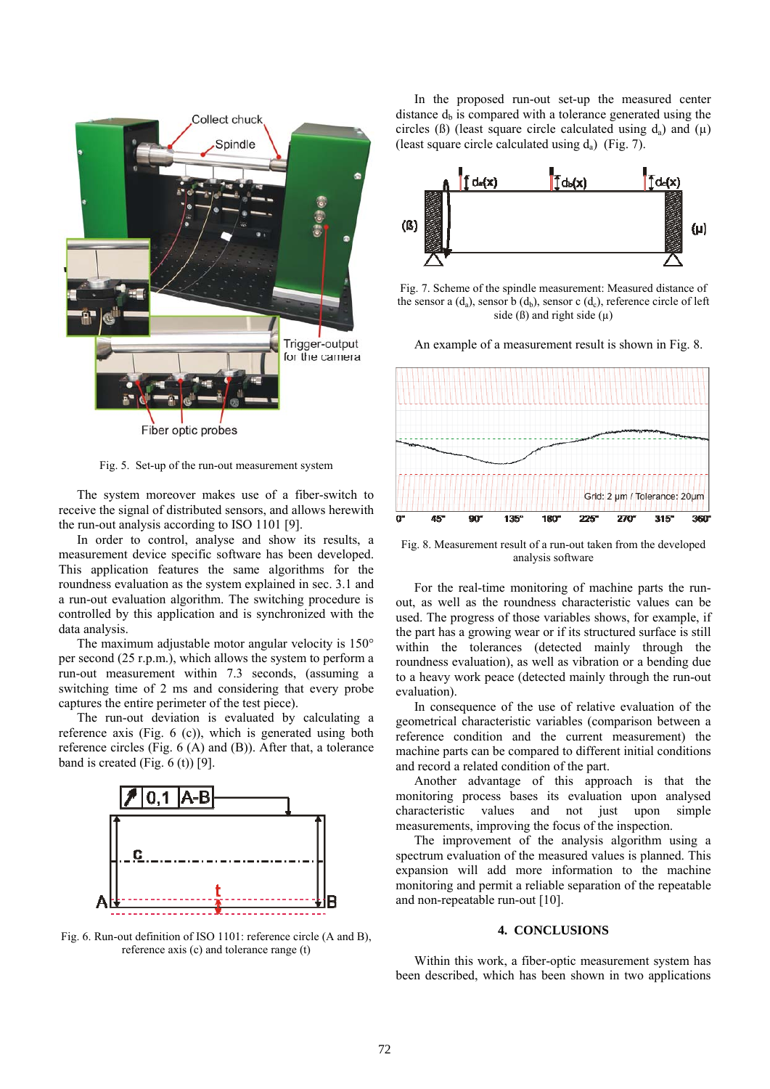

Fig. 5. Set-up of the run-out measurement system

The system moreover makes use of a fiber-switch to receive the signal of distributed sensors, and allows herewith the run-out analysis according to ISO 1101 [9].

In order to control, analyse and show its results, a measurement device specific software has been developed. This application features the same algorithms for the roundness evaluation as the system explained in sec. 3.1 and a run-out evaluation algorithm. The switching procedure is controlled by this application and is synchronized with the data analysis.

The maximum adjustable motor angular velocity is 150° per second (25 r.p.m.), which allows the system to perform a run-out measurement within 7.3 seconds, (assuming a switching time of 2 ms and considering that every probe captures the entire perimeter of the test piece).

The run-out deviation is evaluated by calculating a reference axis (Fig. 6 (c)), which is generated using both reference circles (Fig. 6 (A) and (B)). After that, a tolerance band is created (Fig.  $6$  (t)) [9].



Fig. 6. Run-out definition of ISO 1101: reference circle (A and B), reference axis (c) and tolerance range (t)

In the proposed run-out set-up the measured center distance  $d_b$  is compared with a tolerance generated using the circles ( $\beta$ ) (least square circle calculated using  $d_a$ ) and ( $\mu$ ) (least square circle calculated using  $d_a$ ) (Fig. 7).



Fig. 7. Scheme of the spindle measurement: Measured distance of the sensor a  $(d_a)$ , sensor b  $(d_b)$ , sensor c  $(d_c)$ , reference circle of left side ( $\beta$ ) and right side ( $\mu$ )

An example of a measurement result is shown in Fig. 8.



Fig. 8. Measurement result of a run-out taken from the developed analysis software

For the real-time monitoring of machine parts the runout, as well as the roundness characteristic values can be used. The progress of those variables shows, for example, if the part has a growing wear or if its structured surface is still within the tolerances (detected mainly through the roundness evaluation), as well as vibration or a bending due to a heavy work peace (detected mainly through the run-out evaluation).

In consequence of the use of relative evaluation of the geometrical characteristic variables (comparison between a reference condition and the current measurement) the machine parts can be compared to different initial conditions and record a related condition of the part.

Another advantage of this approach is that the monitoring process bases its evaluation upon analysed characteristic values and not just upon simple measurements, improving the focus of the inspection.

The improvement of the analysis algorithm using a spectrum evaluation of the measured values is planned. This expansion will add more information to the machine monitoring and permit a reliable separation of the repeatable and non-repeatable run-out [10].

# **4. CONCLUSIONS**

Within this work, a fiber-optic measurement system has been described, which has been shown in two applications